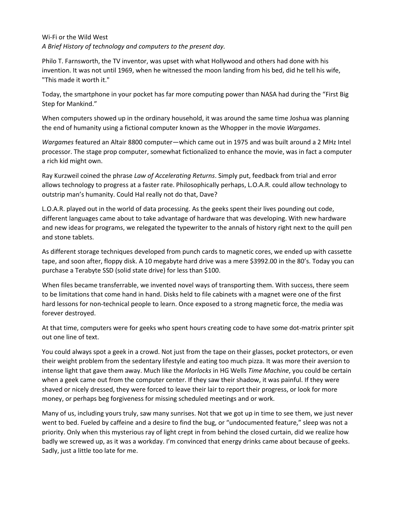Wi-Fi or the Wild West *A Brief History of technology and computers to the present day.*

Philo T. Farnsworth, the TV inventor, was upset with what Hollywood and others had done with his invention. It was not until 1969, when he witnessed the moon landing from his bed, did he tell his wife, "This made it worth it."

Today, the smartphone in your pocket has far more computing power than NASA had during the "First Big Step for Mankind."

When computers showed up in the ordinary household, it was around the same time Joshua was planning the end of humanity using a fictional computer known as the Whopper in the movie *Wargames*.

*Wargames* featured an Altair 8800 computer—which came out in 1975 and was built around a 2 MHz Intel processor. The stage prop computer, somewhat fictionalized to enhance the movie, was in fact a computer a rich kid might own.

Ray Kurzweil coined the phrase *Law of Accelerating Returns*. Simply put, feedback from trial and error allows technology to progress at a faster rate. Philosophically perhaps, L.O.A.R. could allow technology to outstrip man's humanity. Could Hal really not do that, Dave?

L.O.A.R. played out in the world of data processing. As the geeks spent their lives pounding out code, different languages came about to take advantage of hardware that was developing. With new hardware and new ideas for programs, we relegated the typewriter to the annals of history right next to the quill pen and stone tablets.

As different storage techniques developed from punch cards to magnetic cores, we ended up with cassette tape, and soon after, floppy disk. A 10 megabyte hard drive was a mere \$3992.00 in the 80's. Today you can purchase a Terabyte SSD (solid state drive) for less than \$100.

When files became transferrable, we invented novel ways of transporting them. With success, there seem to be limitations that come hand in hand. Disks held to file cabinets with a magnet were one of the first hard lessons for non-technical people to learn. Once exposed to a strong magnetic force, the media was forever destroyed.

At that time, computers were for geeks who spent hours creating code to have some dot-matrix printer spit out one line of text.

You could always spot a geek in a crowd. Not just from the tape on their glasses, pocket protectors, or even their weight problem from the sedentary lifestyle and eating too much pizza. It was more their aversion to intense light that gave them away. Much like the *Morlocks* in HG Wells *Time Machine*, you could be certain when a geek came out from the computer center. If they saw their shadow, it was painful. If they were shaved or nicely dressed, they were forced to leave their lair to report their progress, or look for more money, or perhaps beg forgiveness for missing scheduled meetings and or work.

Many of us, including yours truly, saw many sunrises. Not that we got up in time to see them, we just never went to bed. Fueled by caffeine and a desire to find the bug, or "undocumented feature," sleep was not a priority. Only when this mysterious ray of light crept in from behind the closed curtain, did we realize how badly we screwed up, as it was a workday. I'm convinced that energy drinks came about because of geeks. Sadly, just a little too late for me.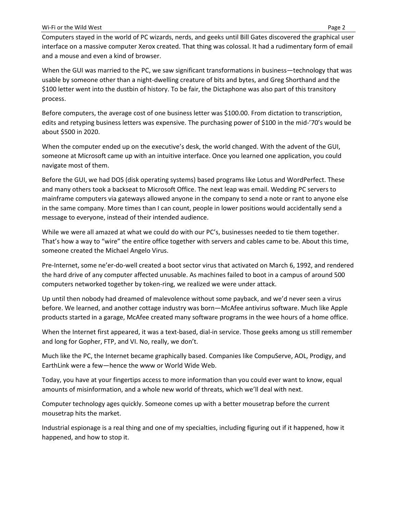Computers stayed in the world of PC wizards, nerds, and geeks until Bill Gates discovered the graphical user interface on a massive computer Xerox created. That thing was colossal. It had a rudimentary form of email and a mouse and even a kind of browser.

When the GUI was married to the PC, we saw significant transformations in business—technology that was usable by someone other than a night-dwelling creature of bits and bytes, and Greg Shorthand and the \$100 letter went into the dustbin of history. To be fair, the Dictaphone was also part of this transitory process.

Before computers, the average cost of one business letter was \$100.00. From dictation to transcription, edits and retyping business letters was expensive. The purchasing power of \$100 in the mid-'70's would be about \$500 in 2020.

When the computer ended up on the executive's desk, the world changed. With the advent of the GUI, someone at Microsoft came up with an intuitive interface. Once you learned one application, you could navigate most of them.

Before the GUI, we had DOS (disk operating systems) based programs like Lotus and WordPerfect. These and many others took a backseat to Microsoft Office. The next leap was email. Wedding PC servers to mainframe computers via gateways allowed anyone in the company to send a note or rant to anyone else in the same company. More times than I can count, people in lower positions would accidentally send a message to everyone, instead of their intended audience.

While we were all amazed at what we could do with our PC's, businesses needed to tie them together. That's how a way to "wire" the entire office together with servers and cables came to be. About this time, someone created the Michael Angelo Virus.

Pre-Internet, some ne'er-do-well created a boot sector virus that activated on March 6, 1992, and rendered the hard drive of any computer affected unusable. As machines failed to boot in a campus of around 500 computers networked together by token-ring, we realized we were under attack.

Up until then nobody had dreamed of malevolence without some payback, and we'd never seen a virus before. We learned, and another cottage industry was born—McAfee antivirus software. Much like Apple products started in a garage, McAfee created many software programs in the wee hours of a home office.

When the Internet first appeared, it was a text-based, dial-in service. Those geeks among us still remember and long for Gopher, FTP, and VI. No, really, we don't.

Much like the PC, the Internet became graphically based. Companies like CompuServe, AOL, Prodigy, and EarthLink were a few—hence the www or World Wide Web.

Today, you have at your fingertips access to more information than you could ever want to know, equal amounts of misinformation, and a whole new world of threats, which we'll deal with next.

Computer technology ages quickly. Someone comes up with a better mousetrap before the current mousetrap hits the market.

Industrial espionage is a real thing and one of my specialties, including figuring out if it happened, how it happened, and how to stop it.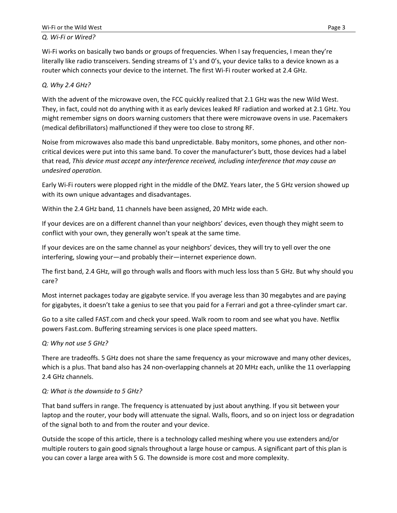#### *Q. Wi-Fi or Wired?*

Wi-Fi works on basically two bands or groups of frequencies. When I say frequencies, I mean they're literally like radio transceivers. Sending streams of 1's and 0's, your device talks to a device known as a router which connects your device to the internet. The first Wi-Fi router worked at 2.4 GHz.

## *Q. Why 2.4 GHz?*

With the advent of the microwave oven, the FCC quickly realized that 2.1 GHz was the new Wild West. They, in fact, could not do anything with it as early devices leaked RF radiation and worked at 2.1 GHz. You might remember signs on doors warning customers that there were microwave ovens in use. Pacemakers (medical defibrillators) malfunctioned if they were too close to strong RF.

Noise from microwaves also made this band unpredictable. Baby monitors, some phones, and other noncritical devices were put into this same band. To cover the manufacturer's butt, those devices had a label that read, *This device must accept any interference received, including interference that may cause an undesired operation.*

Early Wi-Fi routers were plopped right in the middle of the DMZ. Years later, the 5 GHz version showed up with its own unique advantages and disadvantages.

Within the 2.4 GHz band, 11 channels have been assigned, 20 MHz wide each.

If your devices are on a different channel than your neighbors' devices, even though they might seem to conflict with your own, they generally won't speak at the same time.

If your devices are on the same channel as your neighbors' devices, they will try to yell over the one interfering, slowing your—and probably their—internet experience down.

The first band, 2.4 GHz, will go through walls and floors with much less loss than 5 GHz. But why should you care?

Most internet packages today are gigabyte service. If you average less than 30 megabytes and are paying for gigabytes, it doesn't take a genius to see that you paid for a Ferrari and got a three-cylinder smart car.

Go to a site called FAST.com and check your speed. Walk room to room and see what you have. Netflix powers Fast.com. Buffering streaming services is one place speed matters.

#### *Q: Why not use 5 GHz?*

There are tradeoffs. 5 GHz does not share the same frequency as your microwave and many other devices, which is a plus. That band also has 24 non-overlapping channels at 20 MHz each, unlike the 11 overlapping 2.4 GHz channels.

#### *Q: What is the downside to 5 GHz?*

That band suffers in range. The frequency is attenuated by just about anything. If you sit between your laptop and the router, your body will attenuate the signal. Walls, floors, and so on inject loss or degradation of the signal both to and from the router and your device.

Outside the scope of this article, there is a technology called meshing where you use extenders and/or multiple routers to gain good signals throughout a large house or campus. A significant part of this plan is you can cover a large area with 5 G. The downside is more cost and more complexity.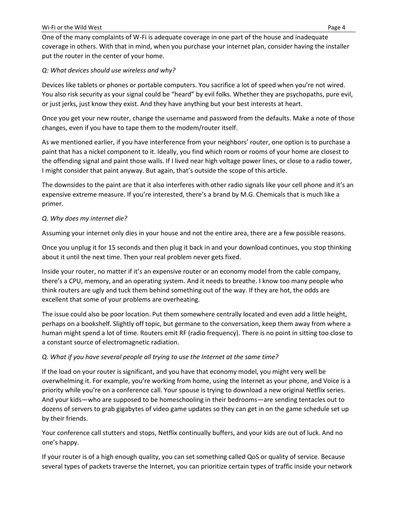One of the many complaints of W-Fi is adequate coverage in one part of the house and inadequate coverage in others. With that in mind, when you purchase your internet plan, consider having the installer put the router in the center of your home.

## *Q: What devices should use wireless and why?*

Devices like tablets or phones or portable computers. You sacrifice a lot of speed when you're not wired. You also risk security as your signal could be "heard" by evil folks. Whether they are psychopaths, pure evil, or just jerks, just know they exist. And they have anything but your best interests at heart.

Once you get your new router, change the username and password from the defaults. Make a note of those changes, even if you have to tape them to the modem/router itself.

As we mentioned earlier, if you have interference from your neighbors' router, one option is to purchase a paint that has a nickel component to it. Ideally, you find which room or rooms of your home are closest to the offending signal and paint those walls. If I lived near high voltage power lines, or close to a radio tower, I might consider that paint anyway. But again, that's outside the scope of this article.

The downsides to the paint are that it also interferes with other radio signals like your cell phone and it's an expensive extreme measure. If you're interested, there's a brand by M.G. Chemicals that is much like a primer.

## *Q. Why does my internet die?*

Assuming your internet only dies in your house and not the entire area, there are a few possible reasons.

Once you unplug it for 15 seconds and then plug it back in and your download continues, you stop thinking about it until the next time. Then your real problem never gets fixed.

Inside your router, no matter if it's an expensive router or an economy model from the cable company, there's a CPU, memory, and an operating system. And it needs to breathe. I know too many people who think routers are ugly and tuck them behind something out of the way. If they are hot, the odds are excellent that some of your problems are overheating.

The issue could also be poor location. Put them somewhere centrally located and even add a little height, perhaps on a bookshelf. Slightly off topic, but germane to the conversation, keep them away from where a human might spend a lot of time. Routers emit RF (radio frequency). There is no point in sitting too close to a constant source of electromagnetic radiation.

# *Q. What if you have several people all trying to use the Internet at the same time?*

If the load on your router is significant, and you have that economy model, you might very well be overwhelming it. For example, you're working from home, using the Internet as your phone, and Voice is a priority while you're on a conference call. Your spouse is trying to download a new original Netflix series. And your kids—who are supposed to be homeschooling in their bedrooms—are sending tentacles out to dozens of servers to grab gigabytes of video game updates so they can get in on the game schedule set up by their friends.

Your conference call stutters and stops, Netflix continually buffers, and your kids are out of luck. And no one's happy.

If your router is of a high enough quality, you can set something called QoS or quality of service. Because several types of packets traverse the Internet, you can prioritize certain types of traffic inside your network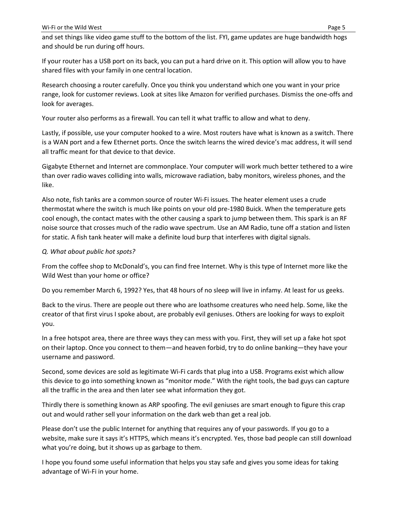and set things like video game stuff to the bottom of the list. FYI, game updates are huge bandwidth hogs and should be run during off hours.

If your router has a USB port on its back, you can put a hard drive on it. This option will allow you to have shared files with your family in one central location.

Research choosing a router carefully. Once you think you understand which one you want in your price range, look for customer reviews. Look at sites like Amazon for verified purchases. Dismiss the one-offs and look for averages.

Your router also performs as a firewall. You can tell it what traffic to allow and what to deny.

Lastly, if possible, use your computer hooked to a wire. Most routers have what is known as a switch. There is a WAN port and a few Ethernet ports. Once the switch learns the wired device's mac address, it will send all traffic meant for that device to that device.

Gigabyte Ethernet and Internet are commonplace. Your computer will work much better tethered to a wire than over radio waves colliding into walls, microwave radiation, baby monitors, wireless phones, and the like.

Also note, fish tanks are a common source of router Wi-Fi issues. The heater element uses a crude thermostat where the switch is much like points on your old pre-1980 Buick. When the temperature gets cool enough, the contact mates with the other causing a spark to jump between them. This spark is an RF noise source that crosses much of the radio wave spectrum. Use an AM Radio, tune off a station and listen for static. A fish tank heater will make a definite loud burp that interferes with digital signals.

#### *Q. What about public hot spots?*

From the coffee shop to McDonald's, you can find free Internet. Why is this type of Internet more like the Wild West than your home or office?

Do you remember March 6, 1992? Yes, that 48 hours of no sleep will live in infamy. At least for us geeks.

Back to the virus. There are people out there who are loathsome creatures who need help. Some, like the creator of that first virus I spoke about, are probably evil geniuses. Others are looking for ways to exploit you.

In a free hotspot area, there are three ways they can mess with you. First, they will set up a fake hot spot on their laptop. Once you connect to them—and heaven forbid, try to do online banking—they have your username and password.

Second, some devices are sold as legitimate Wi-Fi cards that plug into a USB. Programs exist which allow this device to go into something known as "monitor mode." With the right tools, the bad guys can capture all the traffic in the area and then later see what information they got.

Thirdly there is something known as ARP spoofing. The evil geniuses are smart enough to figure this crap out and would rather sell your information on the dark web than get a real job.

Please don't use the public Internet for anything that requires any of your passwords. If you go to a website, make sure it says it's HTTPS, which means it's encrypted. Yes, those bad people can still download what you're doing, but it shows up as garbage to them.

I hope you found some useful information that helps you stay safe and gives you some ideas for taking advantage of Wi-Fi in your home.